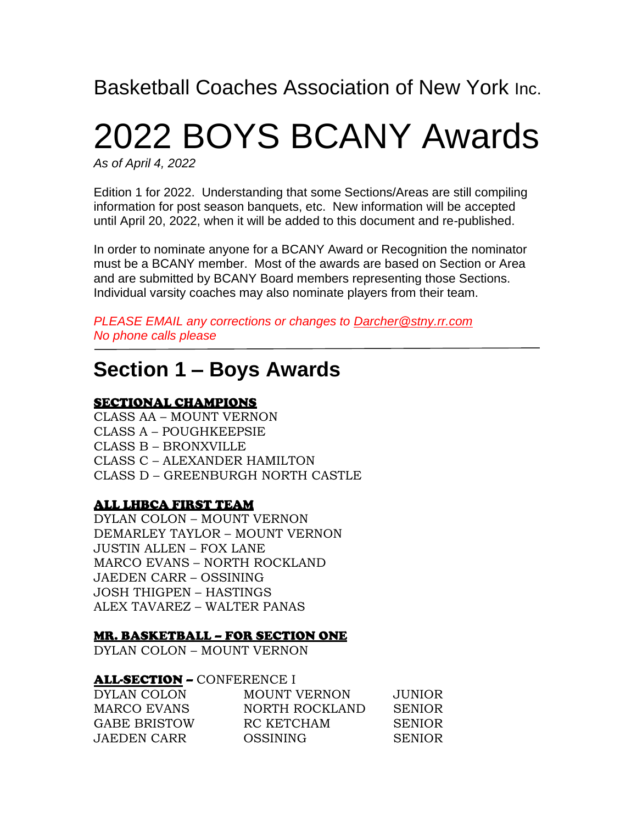Basketball Coaches Association of New York Inc.

# 2022 BOYS BCANY Awards

*As of April 4, 2022*

Edition 1 for 2022. Understanding that some Sections/Areas are still compiling information for post season banquets, etc. New information will be accepted until April 20, 2022, when it will be added to this document and re-published.

In order to nominate anyone for a BCANY Award or Recognition the nominator must be a BCANY member. Most of the awards are based on Section or Area and are submitted by BCANY Board members representing those Sections. Individual varsity coaches may also nominate players from their team.

*PLEASE EMAIL any corrections or changes to [Darcher@stny.rr.com](mailto:Darcher@stny.rr.com) No phone calls please*

## **Section 1 – Boys Awards**

#### SECTIONAL CHAMPIONS

CLASS AA – MOUNT VERNON CLASS A – POUGHKEEPSIE CLASS B – BRONXVILLE CLASS C – ALEXANDER HAMILTON CLASS D – GREENBURGH NORTH CASTLE

#### ALL LHBCA FIRST TEAM

DYLAN COLON – MOUNT VERNON DEMARLEY TAYLOR – MOUNT VERNON JUSTIN ALLEN – FOX LANE MARCO EVANS – NORTH ROCKLAND JAEDEN CARR – OSSINING JOSH THIGPEN – HASTINGS ALEX TAVAREZ – WALTER PANAS

#### MR. BASKETBALL – FOR SECTION ONE

DYLAN COLON – MOUNT VERNON

#### ALL-SECTION – CONFERENCE I

| DYLAN COLON         | <b>MOUNT VERNON</b> | JUNIOR.       |
|---------------------|---------------------|---------------|
| <b>MARCO EVANS</b>  | NORTH ROCKLAND      | <b>SENIOR</b> |
| <b>GABE BRISTOW</b> | RC KETCHAM          | <b>SENIOR</b> |
| <b>JAEDEN CARR</b>  | OSSINING            | <b>SENIOR</b> |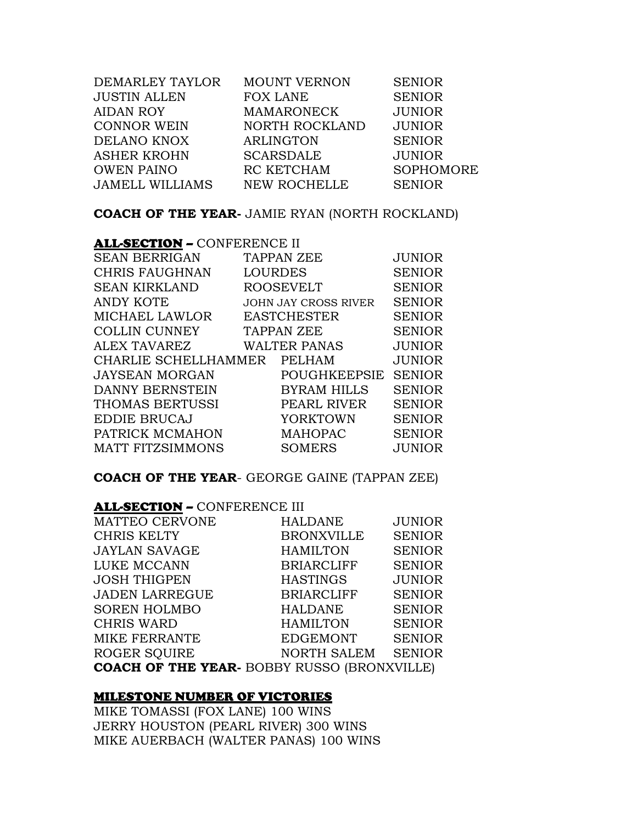| DEMARLEY TAYLOR        | <b>MOUNT VERNON</b> | <b>SENIOR</b>    |
|------------------------|---------------------|------------------|
| <b>JUSTIN ALLEN</b>    | <b>FOX LANE</b>     | <b>SENIOR</b>    |
| <b>AIDAN ROY</b>       | <b>MAMARONECK</b>   | <b>JUNIOR</b>    |
| <b>CONNOR WEIN</b>     | NORTH ROCKLAND      | <b>JUNIOR</b>    |
| DELANO KNOX            | <b>ARLINGTON</b>    | <b>SENIOR</b>    |
| <b>ASHER KROHN</b>     | <b>SCARSDALE</b>    | <b>JUNIOR</b>    |
| <b>OWEN PAINO</b>      | RC KETCHAM          | <b>SOPHOMORE</b> |
| <b>JAMELL WILLIAMS</b> | <b>NEW ROCHELLE</b> | <b>SENIOR</b>    |
|                        |                     |                  |

**COACH OF THE YEAR-** JAMIE RYAN (NORTH ROCKLAND)

| <b>ALL-SECTION - CONFERENCE II</b> |                |                             |               |
|------------------------------------|----------------|-----------------------------|---------------|
| <b>SEAN BERRIGAN</b>               |                | <b>TAPPAN ZEE</b>           | <b>JUNIOR</b> |
| <b>CHRIS FAUGHNAN</b>              | <b>LOURDES</b> |                             | <b>SENIOR</b> |
| <b>SEAN KIRKLAND</b>               |                | <b>ROOSEVELT</b>            | <b>SENIOR</b> |
| <b>ANDY KOTE</b>                   |                | <b>JOHN JAY CROSS RIVER</b> | <b>SENIOR</b> |
| <b>MICHAEL LAWLOR</b>              |                | <b>EASTCHESTER</b>          | <b>SENIOR</b> |
| <b>COLLIN CUNNEY</b>               |                | <b>TAPPAN ZEE</b>           | <b>SENIOR</b> |
| ALEX TAVAREZ                       |                | <b>WALTER PANAS</b>         | <b>JUNIOR</b> |
| CHARLIE SCHELLHAMMER PELHAM        |                |                             | <b>JUNIOR</b> |
| <b>JAYSEAN MORGAN</b>              |                | POUGHKEEPSIE                | <b>SENIOR</b> |
| <b>DANNY BERNSTEIN</b>             |                | <b>BYRAM HILLS</b>          | <b>SENIOR</b> |
| THOMAS BERTUSSI                    |                | PEARL RIVER                 | <b>SENIOR</b> |
| <b>EDDIE BRUCAJ</b>                |                | YORKTOWN                    | <b>SENIOR</b> |
| PATRICK MCMAHON                    |                | <b>MAHOPAC</b>              | <b>SENIOR</b> |
| <b>MATT FITZSIMMONS</b>            |                | <b>SOMERS</b>               | JUNIOR        |
|                                    |                |                             |               |

**COACH OF THE YEAR**- GEORGE GAINE (TAPPAN ZEE)

#### ALL-SECTION - CONFERENCE III

| <b>MATTEO CERVONE</b>                              | <b>HALDANE</b>     | <b>JUNIOR</b> |
|----------------------------------------------------|--------------------|---------------|
| <b>CHRIS KELTY</b>                                 | <b>BRONXVILLE</b>  | <b>SENIOR</b> |
| <b>JAYLAN SAVAGE</b>                               | <b>HAMILTON</b>    | <b>SENIOR</b> |
| LUKE MCCANN                                        | <b>BRIARCLIFF</b>  | <b>SENIOR</b> |
| <b>JOSH THIGPEN</b>                                | <b>HASTINGS</b>    | <b>JUNIOR</b> |
| <b>JADEN LARREGUE</b>                              | <b>BRIARCLIFF</b>  | <b>SENIOR</b> |
| <b>SOREN HOLMBO</b>                                | <b>HALDANE</b>     | <b>SENIOR</b> |
| <b>CHRIS WARD</b>                                  | <b>HAMILTON</b>    | <b>SENIOR</b> |
| MIKE FERRANTE                                      | <b>EDGEMONT</b>    | <b>SENIOR</b> |
| <b>ROGER SQUIRE</b>                                | <b>NORTH SALEM</b> | <b>SENIOR</b> |
| <b>COACH OF THE YEAR- BOBBY RUSSO (BRONXVILLE)</b> |                    |               |

#### MILESTONE NUMBER OF VICTORIES

MIKE TOMASSI (FOX LANE) 100 WINS JERRY HOUSTON (PEARL RIVER) 300 WINS MIKE AUERBACH (WALTER PANAS) 100 WINS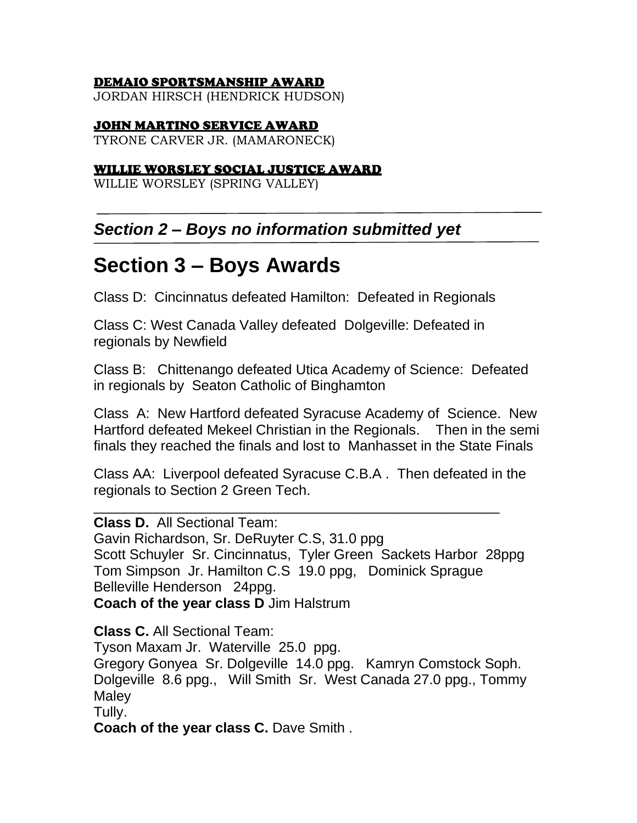#### DEMAIO SPORTSMANSHIP AWARD

JORDAN HIRSCH (HENDRICK HUDSON)

#### JOHN MARTINO SERVICE AWARD

TYRONE CARVER JR. (MAMARONECK)

#### WILLIE WORSLEY SOCIAL JUSTICE AWARD

WILLIE WORSLEY (SPRING VALLEY)

## *Section 2 – Boys no information submitted yet*

## **Section 3 – Boys Awards**

Class D: Cincinnatus defeated Hamilton: Defeated in Regionals

Class C: West Canada Valley defeated Dolgeville: Defeated in regionals by Newfield

Class B: Chittenango defeated Utica Academy of Science: Defeated in regionals by Seaton Catholic of Binghamton

Class A: New Hartford defeated Syracuse Academy of Science. New Hartford defeated Mekeel Christian in the Regionals. Then in the semi finals they reached the finals and lost to Manhasset in the State Finals

Class AA: Liverpool defeated Syracuse C.B.A . Then defeated in the regionals to Section 2 Green Tech.

\_\_\_\_\_\_\_\_\_\_\_\_\_\_\_\_\_\_\_\_\_\_\_\_\_\_\_\_\_\_\_\_\_\_\_\_\_\_\_\_\_\_\_\_\_\_\_\_\_\_\_\_

**Class D.** All Sectional Team: Gavin Richardson, Sr. DeRuyter C.S, 31.0 ppg Scott Schuyler Sr. Cincinnatus, Tyler Green Sackets Harbor 28ppg Tom Simpson Jr. Hamilton C.S 19.0 ppg, Dominick Sprague Belleville Henderson 24ppg. **Coach of the year class D** Jim Halstrum

**Class C.** All Sectional Team: Tyson Maxam Jr. Waterville 25.0 ppg. Gregory Gonyea Sr. Dolgeville 14.0 ppg. Kamryn Comstock Soph. Dolgeville 8.6 ppg., Will Smith Sr. West Canada 27.0 ppg., Tommy Maley Tully. **Coach of the year class C.** Dave Smith .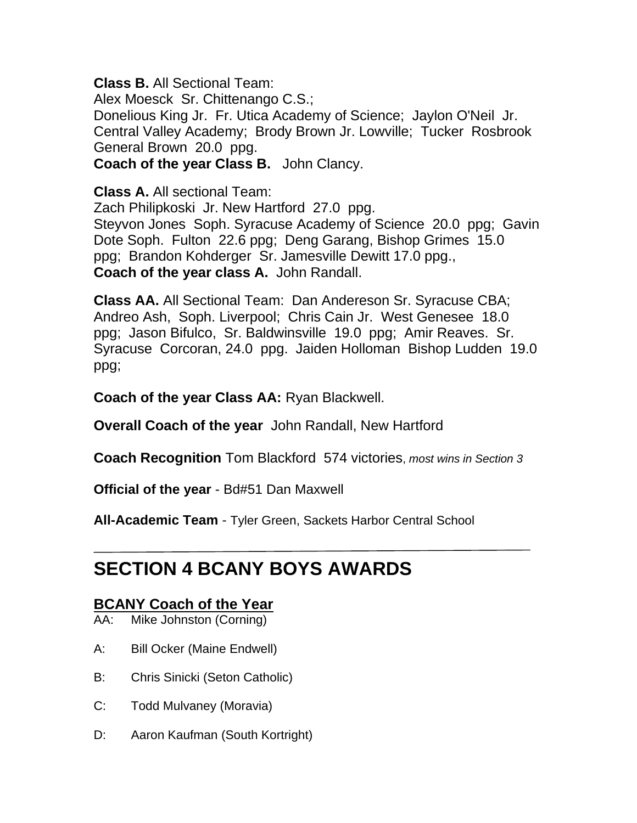**Class B.** All Sectional Team:

Alex Moesck Sr. Chittenango C.S.; Donelious King Jr. Fr. Utica Academy of Science; Jaylon O'Neil Jr. Central Valley Academy; Brody Brown Jr. Lowville; Tucker Rosbrook General Brown 20.0 ppg. **Coach of the year Class B.** John Clancy.

**Class A.** All sectional Team:

Zach Philipkoski Jr. New Hartford 27.0 ppg. Steyvon Jones Soph. Syracuse Academy of Science 20.0 ppg; Gavin Dote Soph. Fulton 22.6 ppg; Deng Garang, Bishop Grimes 15.0 ppg; Brandon Kohderger Sr. Jamesville Dewitt 17.0 ppg., **Coach of the year class A.** John Randall.

**Class AA.** All Sectional Team: Dan Andereson Sr. Syracuse CBA; Andreo Ash, Soph. Liverpool; Chris Cain Jr. West Genesee 18.0 ppg; Jason Bifulco, Sr. Baldwinsville 19.0 ppg; Amir Reaves. Sr. Syracuse Corcoran, 24.0 ppg. Jaiden Holloman Bishop Ludden 19.0 ppg;

**Coach of the year Class AA:** Ryan Blackwell.

**Overall Coach of the year** John Randall, New Hartford

**Coach Recognition** Tom Blackford 574 victories, *most wins in Section 3*

**Official of the year** - Bd#51 Dan Maxwell

**All-Academic Team** - Tyler Green, Sackets Harbor Central School

## **SECTION 4 BCANY BOYS AWARDS**

## **BCANY Coach of the Year**

AA: Mike Johnston (Corning)

- A: Bill Ocker (Maine Endwell)
- B: Chris Sinicki (Seton Catholic)
- C: Todd Mulvaney (Moravia)
- D: Aaron Kaufman (South Kortright)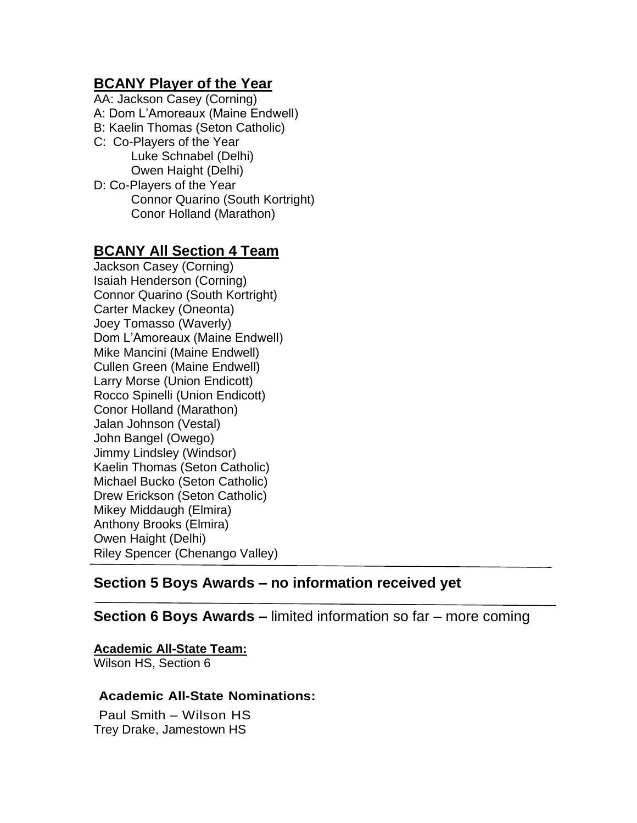## **BCANY Player of the Year**

AA: Jackson Casey (Corning) A: Dom L'Amoreaux (Maine Endwell) B: Kaelin Thomas (Seton Catholic) C: Co-Players of the Year Luke Schnabel (Delhi) Owen Haight (Delhi) D: Co-Players of the Year Connor Quarino (South Kortright) Conor Holland (Marathon)

## **BCANY All Section 4 Team**

Jackson Casey (Corning) Isaiah Henderson (Corning) Connor Quarino (South Kortright) Carter Mackey (Oneonta) Joey Tomasso (Waverly) Dom L'Amoreaux (Maine Endwell) Mike Mancini (Maine Endwell) Cullen Green (Maine Endwell) Larry Morse (Union Endicott) Rocco Spinelli (Union Endicott) Conor Holland (Marathon) Jalan Johnson (Vestal) John Bangel (Owego) Jimmy Lindsley (Windsor) Kaelin Thomas (Seton Catholic) Michael Bucko (Seton Catholic) Drew Erickson (Seton Catholic) Mikey Middaugh (Elmira) Anthony Brooks (Elmira) Owen Haight (Delhi) Riley Spencer (Chenango Valley)

## **Section 5 Boys Awards – no information received yet**

### **Section 6 Boys Awards –** limited information so far – more coming

#### **Academic All-State Team:**

Wilson HS, Section 6

#### **Academic All-State Nominations:**

Paul Smith – Wilson HS Trey Drake, Jamestown HS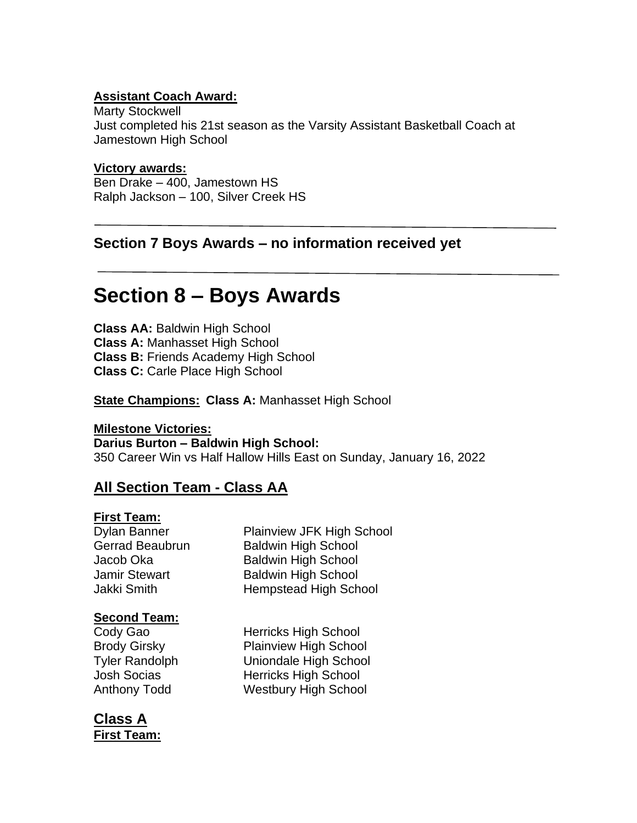### **Assistant Coach Award:**

Marty Stockwell Just completed his 21st season as the Varsity Assistant Basketball Coach at Jamestown High School

#### **Victory awards:**

Ben Drake – 400, Jamestown HS Ralph Jackson – 100, Silver Creek HS

## **Section 7 Boys Awards – no information received yet**

## **Section 8 – Boys Awards**

**Class AA:** Baldwin High School **Class A:** Manhasset High School **Class B:** Friends Academy High School **Class C:** Carle Place High School

**State Champions: Class A:** Manhasset High School

#### **Milestone Victories:**

**Darius Burton – Baldwin High School:** 350 Career Win vs Half Hallow Hills East on Sunday, January 16, 2022

## **All Section Team - Class AA**

#### **First Team:**

Dylan Banner Plainview JFK High School Gerrad Beaubrun Baldwin High School Jacob Oka Baldwin High School Jamir Stewart **Baldwin High School** Jakki Smith Hempstead High School

#### **Second Team:**

Cody Gao **Herricks** High School Brody Girsky Plainview High School Tyler Randolph Uniondale High School Josh Socias **Herricks** High School Anthony Todd Westbury High School

**Class A First Team:**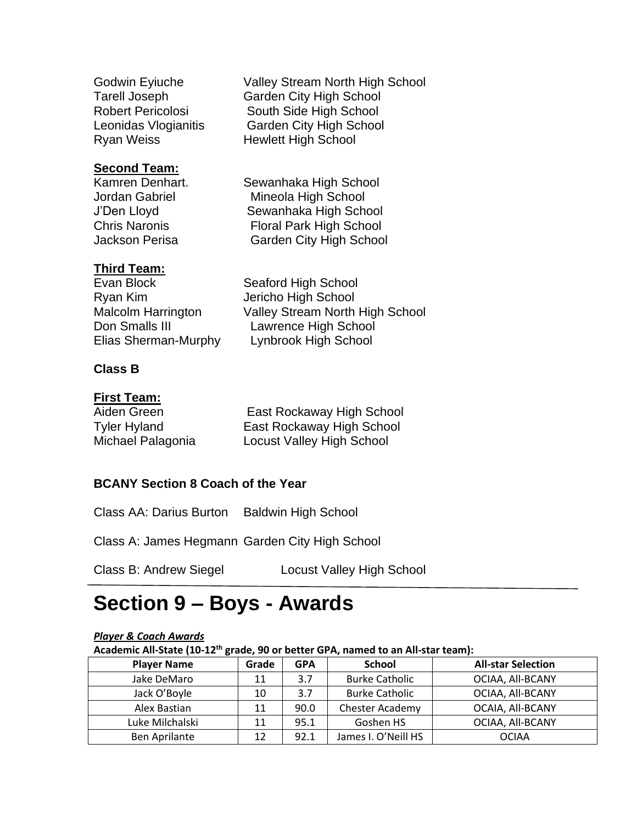**Second Team:**

Godwin Eyiuche Valley Stream North High School Tarell Joseph Garden City High School Robert Pericolosi South Side High School Leonidas Vlogianitis Garden City High School Ryan Weiss **Hewlett High School** 

Kamren Denhart. Sewanhaka High School Jordan Gabriel Mineola High School J'Den Lloyd Sewanhaka High School Chris Naronis Floral Park High School Jackson Perisa Garden City High School

### **Third Team:**

Evan Block Seaford High School Ryan Kim Jericho High School Don Smalls III Lawrence High School Elias Sherman-Murphy Lynbrook High School

Malcolm Harrington Valley Stream North High School

### **Class B**

#### **First Team:**

| Aiden Green         | East Rockaway High School |
|---------------------|---------------------------|
| <b>Tyler Hyland</b> | East Rockaway High School |
| Michael Palagonia   | Locust Valley High School |

### **BCANY Section 8 Coach of the Year**

Class AA: Darius Burton Baldwin High School

Class A: James Hegmann Garden City High School

Class B: Andrew Siegel Locust Valley High School

## **Section 9 – Boys - Awards**

#### *Player & Coach Awards*

**Academic All-State (10-12th grade, 90 or better GPA, named to an All-star team):**

| <b>Player Name</b>   | Grade | <b>GPA</b> | <b>School</b>         | <b>All-star Selection</b> |
|----------------------|-------|------------|-----------------------|---------------------------|
| Jake DeMaro          | 11    | 3.7        | <b>Burke Catholic</b> | OCIAA, All-BCANY          |
| Jack O'Boyle         | 10    | 3.7        | <b>Burke Catholic</b> | OCIAA, All-BCANY          |
| Alex Bastian         | 11    | 90.0       | Chester Academy       | OCAIA, All-BCANY          |
| Luke Milchalski      | 11    | 95.1       | Goshen HS             | OCIAA, All-BCANY          |
| <b>Ben Aprilante</b> | 12    | 92.1       | James I. O'Neill HS   | <b>OCIAA</b>              |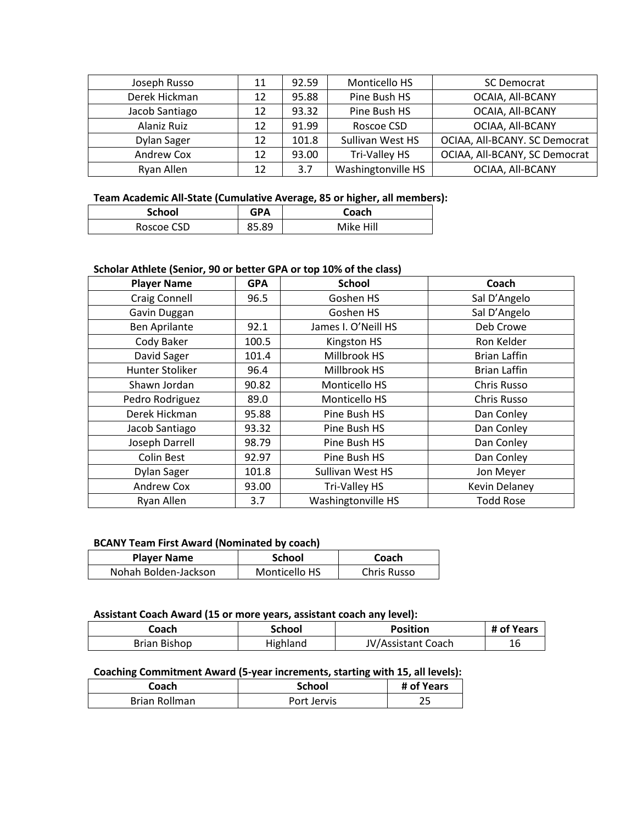| Joseph Russo   | 11 | 92.59 | Monticello HS      | <b>SC Democrat</b>            |
|----------------|----|-------|--------------------|-------------------------------|
| Derek Hickman  | 12 | 95.88 | Pine Bush HS       | OCAIA, All-BCANY              |
| Jacob Santiago | 12 | 93.32 | Pine Bush HS       | OCAIA, All-BCANY              |
| Alaniz Ruiz    | 12 | 91.99 | Roscoe CSD         | OCIAA, All-BCANY              |
| Dylan Sager    | 12 | 101.8 | Sullivan West HS   | OCIAA, All-BCANY. SC Democrat |
| Andrew Cox     | 12 | 93.00 | Tri-Valley HS      | OCIAA, All-BCANY, SC Democrat |
| Ryan Allen     | 12 | 3.7   | Washingtonville HS | OCIAA, All-BCANY              |

#### **Team Academic All-State (Cumulative Average, 85 or higher, all members):**

| <b>School</b> | <b>GPA</b> | Coach     |
|---------------|------------|-----------|
| Roscoe CSD    | 85.89      | Mike Hill |

#### **Scholar Athlete (Senior, 90 or better GPA or top 10% of the class)**

| <b>Player Name</b>   | <b>GPA</b> | <b>School</b>       | Coach                |
|----------------------|------------|---------------------|----------------------|
| Craig Connell        | 96.5       | Goshen HS           | Sal D'Angelo         |
| Gavin Duggan         |            | Goshen HS           | Sal D'Angelo         |
| <b>Ben Aprilante</b> | 92.1       | James I. O'Neill HS | Deb Crowe            |
| Cody Baker           | 100.5      | Kingston HS         | Ron Kelder           |
| David Sager          | 101.4      | Millbrook HS        | <b>Brian Laffin</b>  |
| Hunter Stoliker      | 96.4       | Millbrook HS        | <b>Brian Laffin</b>  |
| Shawn Jordan         | 90.82      | Monticello HS       | Chris Russo          |
| Pedro Rodriguez      | 89.0       | Monticello HS       | Chris Russo          |
| Derek Hickman        | 95.88      | Pine Bush HS        | Dan Conley           |
| Jacob Santiago       | 93.32      | Pine Bush HS        | Dan Conley           |
| Joseph Darrell       | 98.79      | Pine Bush HS        | Dan Conley           |
| Colin Best           | 92.97      | Pine Bush HS        | Dan Conley           |
| Dylan Sager          | 101.8      | Sullivan West HS    | Jon Meyer            |
| Andrew Cox           | 93.00      | Tri-Valley HS       | <b>Kevin Delaney</b> |
| Ryan Allen           | 3.7        | Washingtonville HS  | <b>Todd Rose</b>     |

#### **BCANY Team First Award (Nominated by coach)**

| <b>Player Name</b>   | <b>School</b> | Coach       |
|----------------------|---------------|-------------|
| Nohah Bolden-Jackson | Monticello HS | Chris Russo |

#### **Assistant Coach Award (15 or more years, assistant coach any level):**

| Coach.       | <b>School</b> | <b>Position</b>    | # of Years |
|--------------|---------------|--------------------|------------|
| Brian Bishop | Highland      | JV/Assistant Coach | 16         |

#### **Coaching Commitment Award (5-year increments, starting with 15, all levels):**

| Coach         | <b>School</b> | # of Years |
|---------------|---------------|------------|
| Brian Rollman | Port Jervis   |            |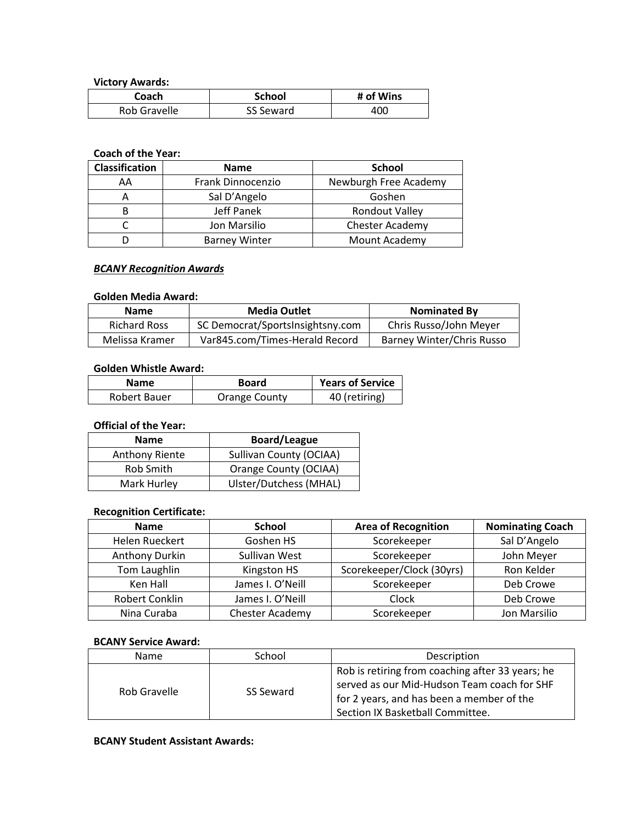**Victory Awards:**

| Coach        | <b>School</b> | # of Wins |
|--------------|---------------|-----------|
| Rob Gravelle | SS Seward     | 400       |

#### **Coach of the Year:**

| <b>Classification</b> | <b>Name</b>          | <b>School</b>          |
|-----------------------|----------------------|------------------------|
| AA                    | Frank Dinnocenzio    | Newburgh Free Academy  |
|                       | Sal D'Angelo         | Goshen                 |
|                       | Jeff Panek           | <b>Rondout Valley</b>  |
|                       | Jon Marsilio         | <b>Chester Academy</b> |
|                       | <b>Barney Winter</b> | Mount Academy          |

#### *BCANY Recognition Awards*

#### **Golden Media Award:**

| <b>Name</b>         | <b>Media Outlet</b>              | <b>Nominated By</b>              |
|---------------------|----------------------------------|----------------------------------|
| <b>Richard Ross</b> | SC Democrat/SportsInsightsny.com | Chris Russo/John Meyer           |
| Melissa Kramer      | Var845.com/Times-Herald Record   | <b>Barney Winter/Chris Russo</b> |

#### **Golden Whistle Award:**

| <b>Name</b>  | <b>Board</b>  | <b>Years of Service</b> |
|--------------|---------------|-------------------------|
| Robert Bauer | Orange County | 40 (retiring)           |

#### **Official of the Year:**

| <b>Name</b>    | <b>Board/League</b>     |
|----------------|-------------------------|
| Anthony Riente | Sullivan County (OCIAA) |
| Rob Smith      | Orange County (OCIAA)   |
| Mark Hurley    | Ulster/Dutchess (MHAL)  |

#### **Recognition Certificate:**

| <b>Name</b>    | <b>School</b>    | <b>Area of Recognition</b> | <b>Nominating Coach</b> |
|----------------|------------------|----------------------------|-------------------------|
| Helen Rueckert | Goshen HS        | Scorekeeper                | Sal D'Angelo            |
| Anthony Durkin | Sullivan West    | Scorekeeper                | John Meyer              |
| Tom Laughlin   | Kingston HS      | Scorekeeper/Clock (30yrs)  | Ron Kelder              |
| Ken Hall       | James I. O'Neill | Scorekeeper                | Deb Crowe               |
| Robert Conklin | James I. O'Neill | Clock                      | Deb Crowe               |
| Nina Curaba    | Chester Academy  | Scorekeeper                | Jon Marsilio            |

#### **BCANY Service Award:**

| <b>Name</b>  | School    | Description                                                                                                                                                                      |
|--------------|-----------|----------------------------------------------------------------------------------------------------------------------------------------------------------------------------------|
| Rob Gravelle | SS Seward | Rob is retiring from coaching after 33 years; he<br>served as our Mid-Hudson Team coach for SHF<br>for 2 years, and has been a member of the<br>Section IX Basketball Committee. |

#### **BCANY Student Assistant Awards:**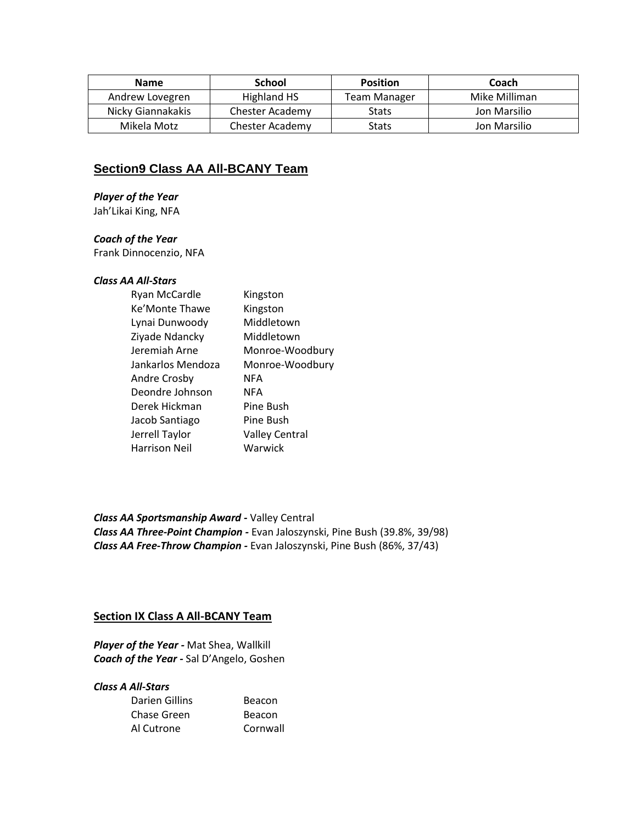| <b>Name</b>       | <b>School</b>   | <b>Position</b> | Coach         |
|-------------------|-----------------|-----------------|---------------|
| Andrew Lovegren   | Highland HS     | Team Manager    | Mike Milliman |
| Nicky Giannakakis | Chester Academy | <b>Stats</b>    | Jon Marsilio  |
| Mikela Motz       | Chester Academy | <b>Stats</b>    | Jon Marsilio  |

#### **Section9 Class AA All-BCANY Team**

#### *Player of the Year*

Jah'Likai King, NFA

#### *Coach of the Year*

Frank Dinnocenzio, NFA

#### *Class AA All-Stars*

| Ryan McCardle     | Kingston              |
|-------------------|-----------------------|
| Ke'Monte Thawe    | Kingston              |
| Lynai Dunwoody    | Middletown            |
| Ziyade Ndancky    | Middletown            |
| Jeremiah Arne     | Monroe-Woodbury       |
| Jankarlos Mendoza | Monroe-Woodbury       |
| Andre Crosby      | NFA                   |
| Deondre Johnson   | NFA                   |
| Derek Hickman     | Pine Bush             |
| Jacob Santiago    | Pine Bush             |
| Jerrell Taylor    | <b>Valley Central</b> |
| Harrison Neil     | Warwick               |
|                   |                       |

*Class AA Sportsmanship Award -* Valley Central *Class AA Three-Point Champion -* Evan Jaloszynski, Pine Bush (39.8%, 39/98) *Class AA Free-Throw Champion -* Evan Jaloszynski, Pine Bush (86%, 37/43)

#### **Section IX Class A All-BCANY Team**

*Player of the Year -* Mat Shea, Wallkill *Coach of the Year -* Sal D'Angelo, Goshen

#### *Class A All-Stars*

| Darien Gillins | Beacon   |
|----------------|----------|
| Chase Green    | Beacon   |
| Al Cutrone     | Cornwall |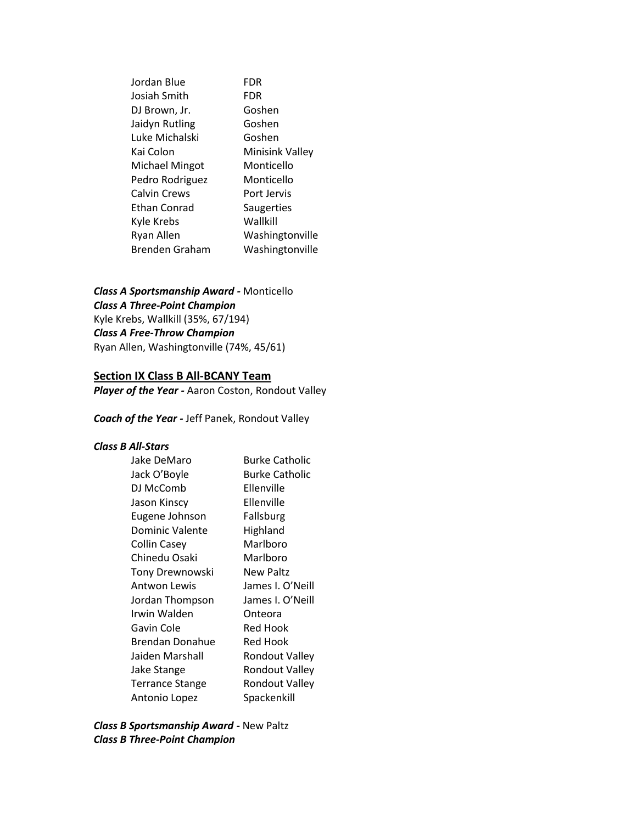Jordan Blue FDR Josiah Smith FDR DJ Brown, Jr. Goshen Jaidyn Rutling **Goshen** Luke Michalski Goshen Kai Colon Minisink Valley Michael Mingot Monticello Pedro Rodriguez Monticello Calvin Crews Port Jervis Ethan Conrad Saugerties Kyle Krebs Wallkill Ryan Allen Washingtonville Brenden Graham Washingtonville

*Class A Sportsmanship Award -* Monticello *Class A Three-Point Champion* Kyle Krebs, Wallkill (35%, 67/194) *Class A Free-Throw Champion* Ryan Allen, Washingtonville (74%, 45/61)

#### **Section IX Class B All-BCANY Team**

*Player of the Year -* Aaron Coston, Rondout Valley

*Coach of the Year -* Jeff Panek, Rondout Valley

#### *Class B All-Stars*

| Jake DeMaro            | <b>Burke Catholic</b> |
|------------------------|-----------------------|
| Jack O'Boyle           | <b>Burke Catholic</b> |
| DJ McComb              | Ellenville            |
| Jason Kinscy           | Ellenville            |
| Eugene Johnson         | Fallsburg             |
| Dominic Valente        | Highland              |
| <b>Collin Casey</b>    | Marlboro              |
| Chinedu Osaki          | Marlboro              |
| Tony Drewnowski        | <b>New Paltz</b>      |
| Antwon Lewis           | James I. O'Neill      |
| Jordan Thompson        | James I. O'Neill      |
| Irwin Walden           | Onteora               |
| Gavin Cole             | Red Hook              |
| Brendan Donahue        | Red Hook              |
| Jaiden Marshall        | <b>Rondout Valley</b> |
| Jake Stange            | <b>Rondout Valley</b> |
| <b>Terrance Stange</b> | Rondout Valley        |
| Antonio Lopez          | Spackenkill           |

*Class B Sportsmanship Award -* New Paltz *Class B Three-Point Champion*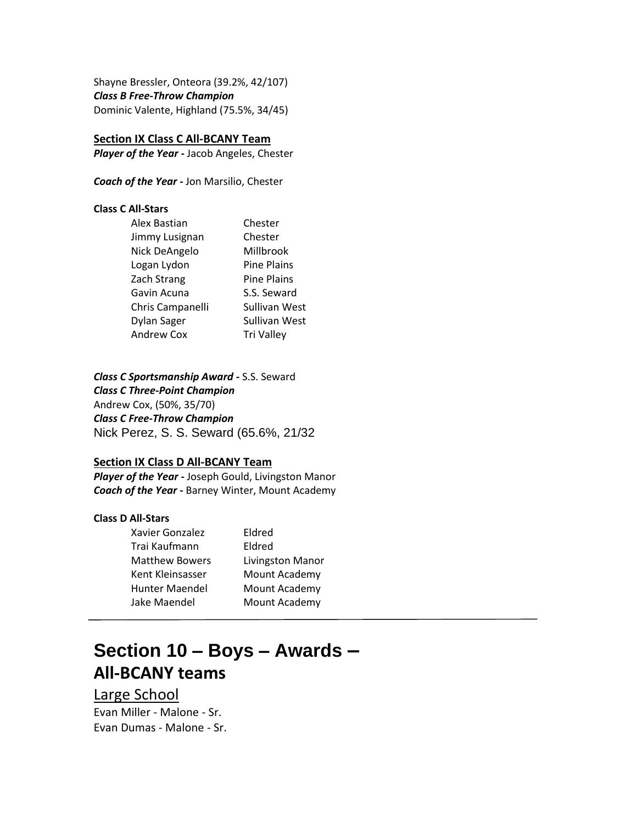Shayne Bressler, Onteora (39.2%, 42/107) *Class B Free-Throw Champion* Dominic Valente, Highland (75.5%, 34/45)

#### **Section IX Class C All-BCANY Team**

*Player of the Year -* Jacob Angeles, Chester

*Coach of the Year -* Jon Marsilio, Chester

#### **Class C All-Stars**

| Chester            |
|--------------------|
| Chester            |
| Millbrook          |
| <b>Pine Plains</b> |
| <b>Pine Plains</b> |
| S.S. Seward        |
| Sullivan West      |
| Sullivan West      |
| <b>Tri Valley</b>  |
|                    |

#### *Class C Sportsmanship Award -* S.S. Seward

*Class C Three-Point Champion* Andrew Cox, (50%, 35/70) *Class C Free-Throw Champion* Nick Perez, S. S. Seward (65.6%, 21/32

#### **Section IX Class D All-BCANY Team**

*Player of the Year -* Joseph Gould, Livingston Manor *Coach of the Year -* Barney Winter, Mount Academy

#### **Class D All-Stars**

| Xavier Gonzalez       | Eldred           |
|-----------------------|------------------|
| Trai Kaufmann         | Eldred           |
| <b>Matthew Bowers</b> | Livingston Manor |
| Kent Kleinsasser      | Mount Academy    |
| Hunter Maendel        | Mount Academy    |
| Jake Maendel          | Mount Academy    |
|                       |                  |

## **Section 10 – Boys – Awards – All-BCANY teams**

Large School Evan Miller - Malone - Sr. Evan Dumas - Malone - Sr.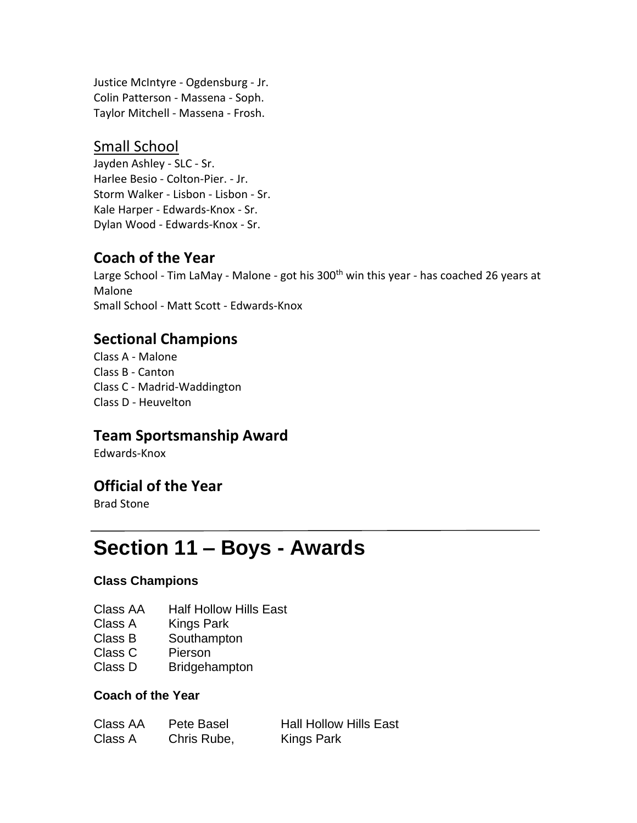Justice McIntyre - Ogdensburg - Jr. Colin Patterson - Massena - Soph. Taylor Mitchell - Massena - Frosh.

## Small School

Jayden Ashley - SLC - Sr. Harlee Besio - Colton-Pier. - Jr. Storm Walker - Lisbon - Lisbon - Sr. Kale Harper - Edwards-Knox - Sr. Dylan Wood - Edwards-Knox - Sr.

## **Coach of the Year**

Large School - Tim LaMay - Malone - got his 300<sup>th</sup> win this year - has coached 26 years at Malone Small School - Matt Scott - Edwards-Knox

## **Sectional Champions**

Class A - Malone Class B - Canton Class C - Madrid-Waddington Class D - Heuvelton

## **Team Sportsmanship Award**

Edwards-Knox

## **Official of the Year**

Brad Stone

## **Section 11 – Boys - Awards**

### **Class Champions**

- Class AA Half Hollow Hills East
- Class A Kings Park
- Class B Southampton
- Class C Pierson
- Class D Bridgehampton

#### **Coach of the Year**

| Class AA | Pete Basel  | <b>Hall Hollow Hills East</b> |
|----------|-------------|-------------------------------|
| Class A  | Chris Rube, | Kings Park                    |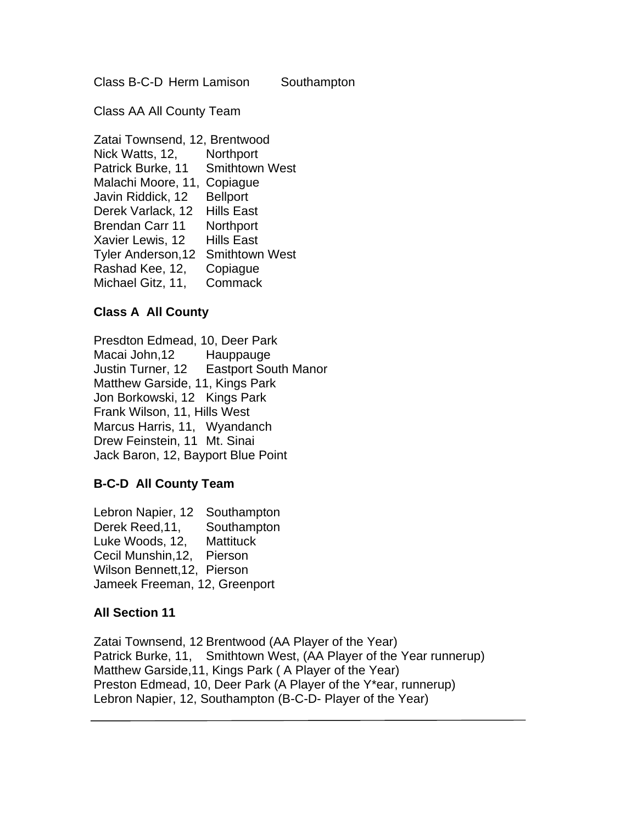Class B-C-D Herm Lamison Southampton

Class AA All County Team

Zatai Townsend, 12, Brentwood Nick Watts, 12, Northport Patrick Burke, 11 Smithtown West Malachi Moore, 11, Copiague Javin Riddick, 12 Bellport Derek Varlack, 12 Hills East Brendan Carr 11 Northport Xavier Lewis, 12 Hills East Tyler Anderson,12 Smithtown West Rashad Kee, 12, Copiague Michael Gitz, 11, Commack

### **Class A All County**

Presdton Edmead, 10, Deer Park Macai John,12 Hauppauge Justin Turner, 12 Eastport South Manor Matthew Garside, 11, Kings Park Jon Borkowski, 12 Kings Park Frank Wilson, 11, Hills West Marcus Harris, 11, Wyandanch Drew Feinstein, 11 Mt. Sinai Jack Baron, 12, Bayport Blue Point

### **B-C-D All County Team**

Lebron Napier, 12 Southampton Derek Reed,11, Southampton Luke Woods, 12, Mattituck Cecil Munshin,12, Pierson Wilson Bennett,12, Pierson Jameek Freeman, 12, Greenport

### **All Section 11**

Zatai Townsend, 12 Brentwood (AA Player of the Year) Patrick Burke, 11, Smithtown West, (AA Player of the Year runnerup) Matthew Garside,11, Kings Park ( A Player of the Year) Preston Edmead, 10, Deer Park (A Player of the Y\*ear, runnerup) Lebron Napier, 12, Southampton (B-C-D- Player of the Year)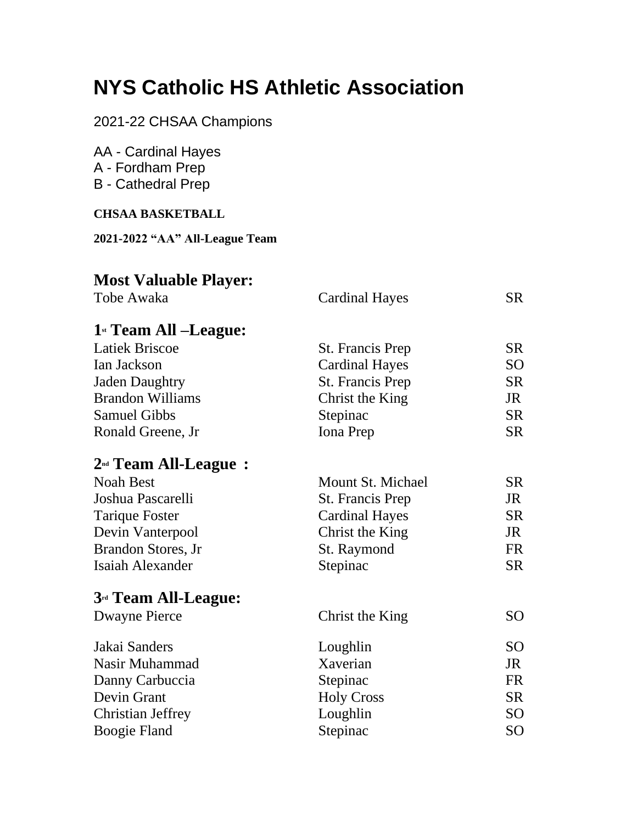## **NYS Catholic HS Athletic Association**

## 2021-22 CHSAA Champions

AA - Cardinal Hayes A - Fordham Prep B - Cathedral Prep

### **CHSAA BASKETBALL**

**2021-2022 "AA" All-League Team**

## **Most Valuable Player:**

| Tobe Awaka                          | <b>Cardinal Hayes</b>   | <b>SR</b>       |
|-------------------------------------|-------------------------|-----------------|
| $1$ <sup>st</sup> Team All –League: |                         |                 |
| <b>Latiek Briscoe</b>               | <b>St. Francis Prep</b> | <b>SR</b>       |
| Ian Jackson                         | <b>Cardinal Hayes</b>   | SO <sub>1</sub> |
| <b>Jaden Daughtry</b>               | St. Francis Prep        | <b>SR</b>       |
| <b>Brandon Williams</b>             | Christ the King         | JR              |
| <b>Samuel Gibbs</b>                 | Stepinac                | <b>SR</b>       |
| Ronald Greene, Jr                   | Iona Prep               | <b>SR</b>       |
| $2nd$ Team All-League :             |                         |                 |
| <b>Noah Best</b>                    | Mount St. Michael       | <b>SR</b>       |
| Joshua Pascarelli                   | <b>St. Francis Prep</b> | JR              |
| <b>Tarique Foster</b>               | <b>Cardinal Hayes</b>   | <b>SR</b>       |
| Devin Vanterpool                    | Christ the King         | <b>JR</b>       |
| <b>Brandon Stores, Jr</b>           | St. Raymond             | <b>FR</b>       |
| Isaiah Alexander                    | Stepinac                | <b>SR</b>       |
| 3 <sup>rd</sup> Team All-League:    |                         |                 |
| <b>Dwayne Pierce</b>                | Christ the King         | <b>SO</b>       |
| Jakai Sanders                       | Loughlin                | <b>SO</b>       |
| Nasir Muhammad                      | Xaverian                | JR              |
| Danny Carbuccia                     | Stepinac                | <b>FR</b>       |
| Devin Grant                         | <b>Holy Cross</b>       | <b>SR</b>       |
| <b>Christian Jeffrey</b>            | Loughlin                | <b>SO</b>       |
| <b>Boogie Fland</b>                 | Stepinac                | SO              |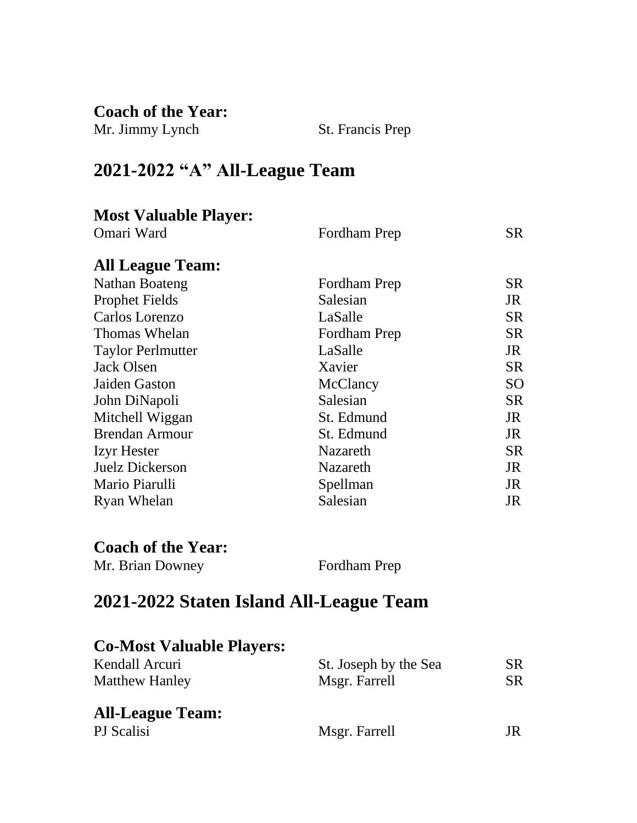**Coach of the Year:**

| Mr. Jimmy Lynch | St. Francis Prep |
|-----------------|------------------|
|-----------------|------------------|

## **2021-2022 "A" All-League Team**

| <b>Most Valuable Player:</b> |              |           |
|------------------------------|--------------|-----------|
| Omari Ward                   | Fordham Prep | SR.       |
|                              |              |           |
| <b>All League Team:</b>      |              |           |
| Nathan Boateng               | Fordham Prep | <b>SR</b> |
| <b>Prophet Fields</b>        | Salesian     | JR        |
| Carlos Lorenzo               | LaSalle      | <b>SR</b> |
| Thomas Whelan                | Fordham Prep | <b>SR</b> |
| <b>Taylor Perlmutter</b>     | LaSalle      | JR        |
| <b>Jack Olsen</b>            | Xavier       | <b>SR</b> |
| Jaiden Gaston                | McClancy     | <b>SO</b> |
| John DiNapoli                | Salesian     | <b>SR</b> |
| Mitchell Wiggan              | St. Edmund   | JR        |
| <b>Brendan Armour</b>        | St. Edmund   | JR        |
| <b>Izyr</b> Hester           | Nazareth     | <b>SR</b> |
| Juelz Dickerson              | Nazareth     | JR        |
| Mario Piarulli               | Spellman     | JR        |
| Ryan Whelan                  | Salesian     | JR        |
|                              |              |           |
|                              |              |           |
| <b>Coach of the Year:</b>    |              |           |

Mr. Brian Downey Fordham Prep

## **2021-2022 Staten Island All-League Team**

| <b>Co-Most Valuable Players:</b> |                       |     |
|----------------------------------|-----------------------|-----|
| Kendall Arcuri                   | St. Joseph by the Sea | SR. |
| <b>Matthew Hanley</b>            | Msgr. Farrell         | SR. |
| <b>All-League Team:</b>          |                       |     |
| PJ Scalisi                       | Msgr. Farrell         |     |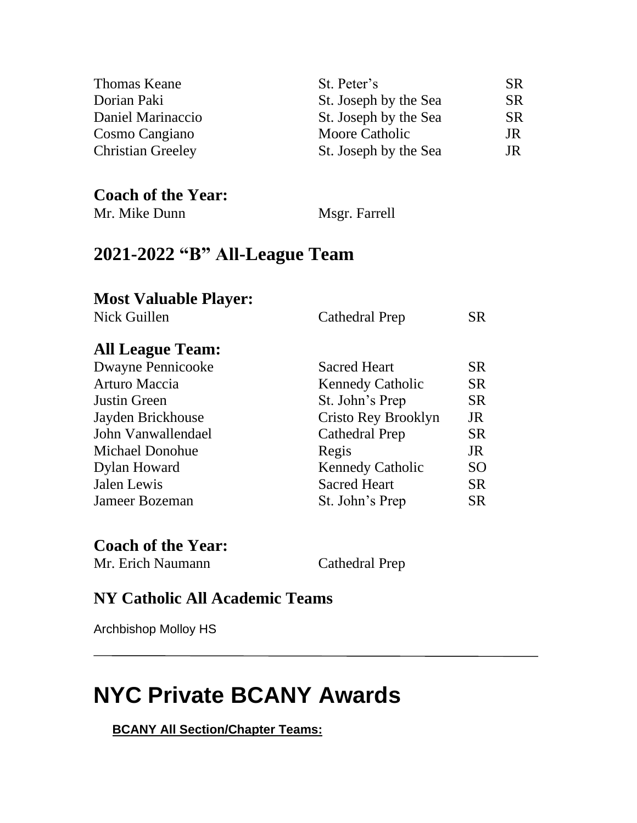| Thomas Keane             | St. Peter's           | <b>SR</b> |
|--------------------------|-----------------------|-----------|
| Dorian Paki              | St. Joseph by the Sea | <b>SR</b> |
| Daniel Marinaccio        | St. Joseph by the Sea | <b>SR</b> |
| Cosmo Cangiano           | Moore Catholic        | JR        |
| <b>Christian Greeley</b> | St. Joseph by the Sea | JR        |

## **Coach of the Year:**

Mr. Mike Dunn Msgr. Farrell

## **2021-2022 "B" All-League Team**

## **Most Valuable Player:**

| Nick Guillen             | <b>Cathedral Prep</b>   | SR.       |
|--------------------------|-------------------------|-----------|
| <b>All League Team:</b>  |                         |           |
| <b>Dwayne Pennicooke</b> | <b>Sacred Heart</b>     | SR.       |
| Arturo Maccia            | <b>Kennedy Catholic</b> | <b>SR</b> |
| Justin Green             | St. John's Prep         | <b>SR</b> |
| Jayden Brickhouse        | Cristo Rey Brooklyn     | JR        |
| John Vanwallendael       | <b>Cathedral Prep</b>   | <b>SR</b> |
| Michael Donohue          | Regis                   | JR        |
| Dylan Howard             | <b>Kennedy Catholic</b> | SO.       |
| Jalen Lewis              | <b>Sacred Heart</b>     | SR.       |
| Jameer Bozeman           | St. John's Prep         | SR.       |

## **Coach of the Year:**

Mr. Erich Naumann Cathedral Prep

## **NY Catholic All Academic Teams**

Archbishop Molloy HS

## **NYC Private BCANY Awards**

**BCANY All Section/Chapter Teams:**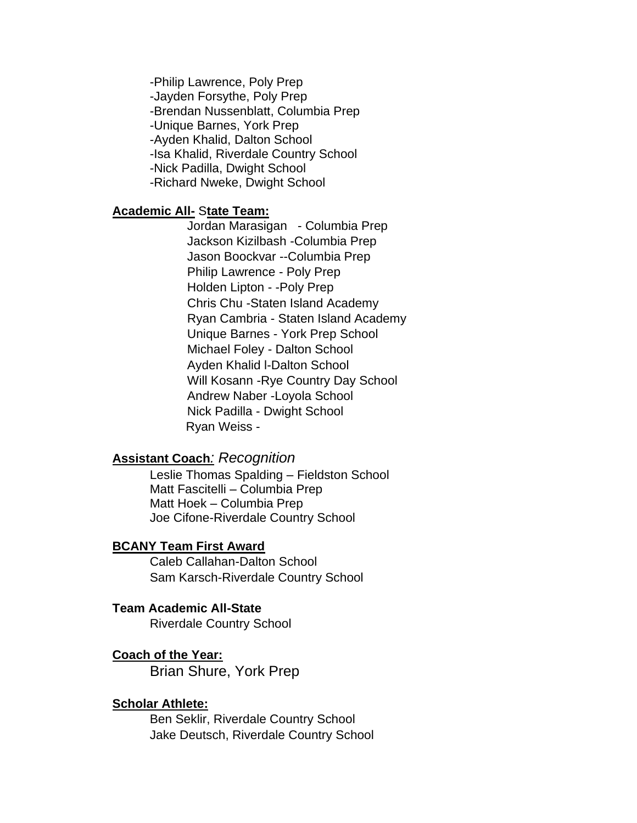-Philip Lawrence, Poly Prep -Jayden Forsythe, Poly Prep -Brendan Nussenblatt, Columbia Prep -Unique Barnes, York Prep -Ayden Khalid, Dalton School -Isa Khalid, Riverdale Country School -Nick Padilla, Dwight School -Richard Nweke, Dwight School

#### **Academic All-** S**tate Team:**

Jordan Marasigan - Columbia Prep Jackson Kizilbash -Columbia Prep Jason Boockvar --Columbia Prep Philip Lawrence - Poly Prep Holden Lipton - -Poly Prep Chris Chu -Staten Island Academy Ryan Cambria - Staten Island Academy Unique Barnes - York Prep School Michael Foley - Dalton School Ayden Khalid l-Dalton School Will Kosann -Rye Country Day School Andrew Naber -Loyola School Nick Padilla - Dwight School Ryan Weiss -

#### **Assistant Coach***: Recognition*

Leslie Thomas Spalding – Fieldston School Matt Fascitelli – Columbia Prep Matt Hoek – Columbia Prep Joe Cifone-Riverdale Country School

#### **BCANY Team First Award**

Caleb Callahan-Dalton School Sam Karsch-Riverdale Country School

#### **Team Academic All-State**

Riverdale Country School

#### **Coach of the Year:**

Brian Shure, York Prep

#### **Scholar Athlete:**

Ben Seklir, Riverdale Country School Jake Deutsch, Riverdale Country School